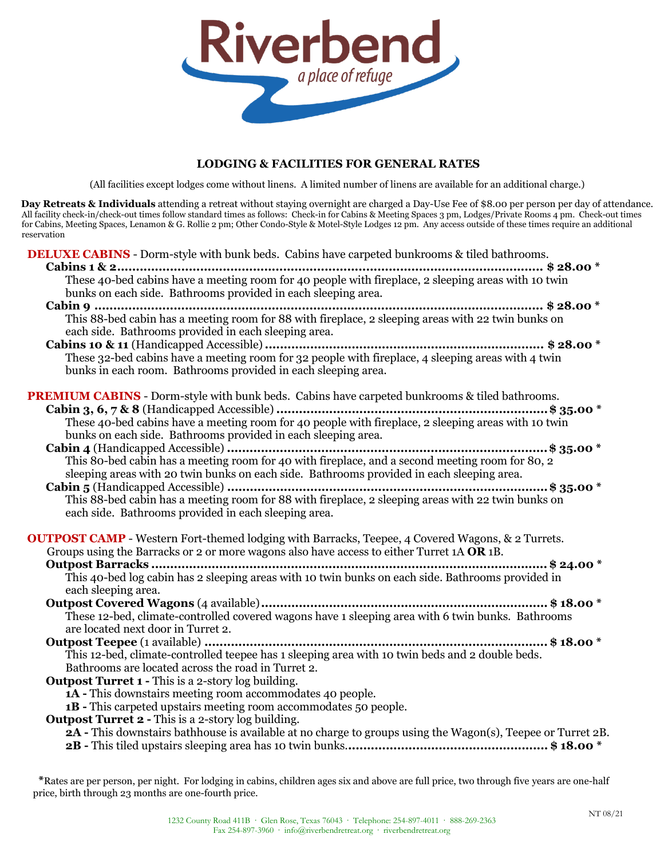

# **LODGING & FACILITIES FOR GENERAL RATES**

(All facilities except lodges come without linens. A limited number of linens are available for an additional charge.)

**Day Retreats & Individuals** attending a retreat without staying overnight are charged a Day-Use Fee of \$8.00 per person per day of attendance. All facility check-in/check-out times follow standard times as follows: Check-in for Cabins & Meeting Spaces 3 pm, Lodges/Private Rooms 4 pm. Check-out times for Cabins, Meeting Spaces, Lenamon & G. Rollie 2 pm; Other Condo-Style & Motel-Style Lodges 12 pm. Any access outside of these times require an additional reservation

**DELUXE CABINS** - Dorm-style with bunk beds. Cabins have carpeted bunkrooms & tiled bathrooms.

| Cabins 1 & 2<br>These 40-bed cabins have a meeting room for 40 people with fireplace, 2 sleeping areas with 10 twin<br>bunks on each side. Bathrooms provided in each sleeping area.                 |
|------------------------------------------------------------------------------------------------------------------------------------------------------------------------------------------------------|
| This 88-bed cabin has a meeting room for 88 with fireplace, 2 sleeping areas with 22 twin bunks on<br>each side. Bathrooms provided in each sleeping area.                                           |
| These 32-bed cabins have a meeting room for 32 people with fireplace, 4 sleeping areas with 4 twin<br>bunks in each room. Bathrooms provided in each sleeping area.                                  |
| PREMIUM CABINS - Dorm-style with bunk beds. Cabins have carpeted bunkrooms & tiled bathrooms.<br>bunks on each side. Bathrooms provided in each sleeping area.                                       |
| sleeping areas with 20 twin bunks on each side. Bathrooms provided in each sleeping area.                                                                                                            |
| This 88-bed cabin has a meeting room for 88 with fireplace, 2 sleeping areas with 22 twin bunks on<br>each side. Bathrooms provided in each sleeping area.                                           |
| <b>OUTPOST CAMP</b> - Western Fort-themed lodging with Barracks, Teepee, 4 Covered Wagons, & 2 Turrets.<br>Groups using the Barracks or 2 or more wagons also have access to either Turret 1A OR 1B. |
| each sleeping area.                                                                                                                                                                                  |
| These 12-bed, climate-controlled covered wagons have 1 sleeping area with 6 twin bunks. Bathrooms<br>are located next door in Turret 2.                                                              |
| This 12-bed, climate-controlled teepee has 1 sleeping area with 10 twin beds and 2 double beds.<br>Bathrooms are located across the road in Turret 2.                                                |
| Outpost Turret 1 - This is a 2-story log building.<br><b>1A</b> - This downstairs meeting room accommodates 40 people.<br><b>1B</b> - This carpeted upstairs meeting room accommodates 50 people.    |
| <b>Outpost Turret 2 - This is a 2-story log building.</b><br>2A - This downstairs bathhouse is available at no charge to groups using the Wagon(s), Teepee or Turret 2B.                             |

**\***Rates are per person, per night. For lodging in cabins, children ages six and above are full price, two through five years are one-half price, birth through 23 months are one-fourth price.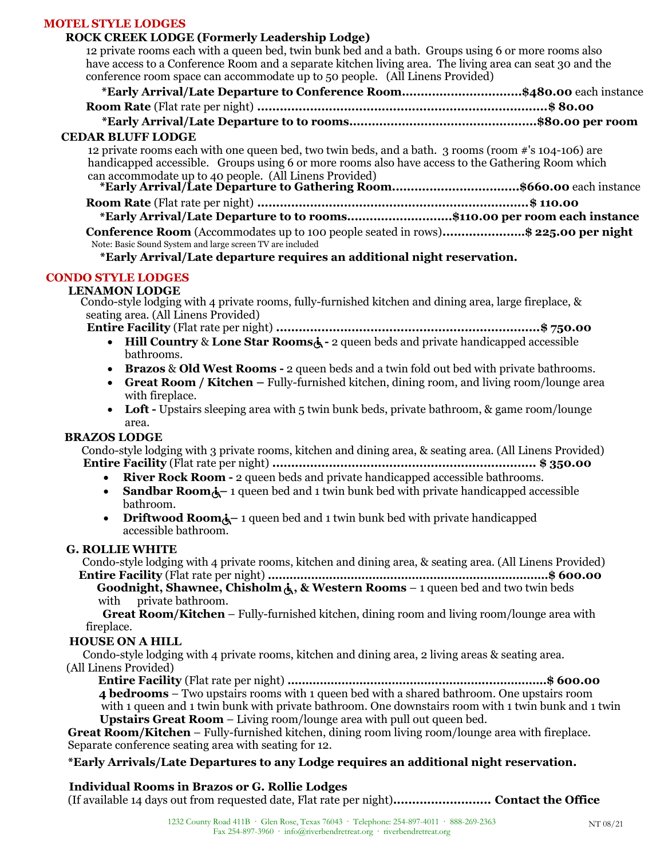## **MOTEL STYLE LODGES**

# **ROCK CREEK LODGE (Formerly Leadership Lodge)**

12 private rooms each with a queen bed, twin bunk bed and a bath. Groups using 6 or more rooms also have access to a Conference Room and a separate kitchen living area. The living area can seat 30 and the conference room space can accommodate up to 50 people. (All Linens Provided)

| conference from space can accommodate up to 50 people. (All Linens Frovideu)                                                    |  |  |
|---------------------------------------------------------------------------------------------------------------------------------|--|--|
| *Early Arrival/Late Departure to Conference Room\$480.00 each instance                                                          |  |  |
|                                                                                                                                 |  |  |
|                                                                                                                                 |  |  |
| <b>CEDAR BLUFF LODGE</b>                                                                                                        |  |  |
| 12 private rooms each with one queen bed, two twin beds, and a bath. 3 rooms (room #'s 104-106) are                             |  |  |
| handicapped accessible. Groups using 6 or more rooms also have access to the Gathering Room which                               |  |  |
|                                                                                                                                 |  |  |
| can accommodate up to 40 people. (All Linens Provided)<br>*Early Arrival/Late Departure to Gathering Room\$660.00 each instance |  |  |
|                                                                                                                                 |  |  |
| *Early Arrival/Late Departure to to rooms\$110.00 per room each instance                                                        |  |  |
| <b>Conference Room</b> (Accommodates up to 100 people seated in rows)\$225.00 per night                                         |  |  |
| Note: Basic Sound System and large screen TV are included                                                                       |  |  |
|                                                                                                                                 |  |  |

**\*Early Arrival/Late departure requires an additional night reservation.**

# **CONDO STYLE LODGES**

## **LENAMON LODGE**

Condo-style lodging with 4 private rooms, fully-furnished kitchen and dining area, large fireplace, & seating area. (All Linens Provided)

**Entire Facility** (Flat rate per night) **......................................................................\$ 750.00**

- **Hill Country & Lone Star Rooms** $\dot{\mathbf{A}}$  2 queen beds and private handicapped accessible bathrooms.
- **Brazos** & **Old West Rooms -** 2 queen beds and a twin fold out bed with private bathrooms.
- **Great Room / Kitchen –** Fully-furnished kitchen, dining room, and living room/lounge area with fireplace.
- Loft Upstairs sleeping area with 5 twin bunk beds, private bathroom, & game room/lounge area.

## **BRAZOS LODGE**

Condo-style lodging with 3 private rooms, kitchen and dining area, & seating area. (All Linens Provided) **Entire Facility** (Flat rate per night) **...................................................................... \$ 350.00**

- **River Rock Room -** 2 queen beds and private handicapped accessible bathrooms.
- **Sandbar Room**<sup> $\lambda$ </sup> 1 queen bed and 1 twin bunk bed with private handicapped accessible bathroom.
- **Driftwood Room**<sup> $\lambda$ </sup> 1 queen bed and 1 twin bunk bed with private handicapped accessible bathroom.

#### **G. ROLLIE WHITE**

Condo-style lodging with 4 private rooms, kitchen and dining area, & seating area. (All Linens Provided) **Entire Facility** (Flat rate per night) **……………………………………………………………………\$ 600.00**

**Goodnight, Shawnee, Chisholm , & Western Rooms** – 1 queen bed and two twin beds with private bathroom.

**Great Room/Kitchen** – Fully-furnished kitchen, dining room and living room/lounge area with fireplace.

## **HOUSE ON A HILL**

 Condo-style lodging with 4 private rooms, kitchen and dining area, 2 living areas & seating area. (All Linens Provided)

**Entire Facility** (Flat rate per night) **………………………………………………...……………\$ 600.00 4 bedrooms** – Two upstairs rooms with 1 queen bed with a shared bathroom. One upstairs room

with 1 queen and 1 twin bunk with private bathroom. One downstairs room with 1 twin bunk and 1 twin **Upstairs Great Room** – Living room/lounge area with pull out queen bed.

**Great Room/Kitchen** – Fully-furnished kitchen, dining room living room/lounge area with fireplace. Separate conference seating area with seating for 12.

## **\*Early Arrivals/Late Departures to any Lodge requires an additional night reservation.**

## **Individual Rooms in Brazos or G. Rollie Lodges**

(If available 14 days out from requested date, Flat rate per night)**.......................... Contact the Office**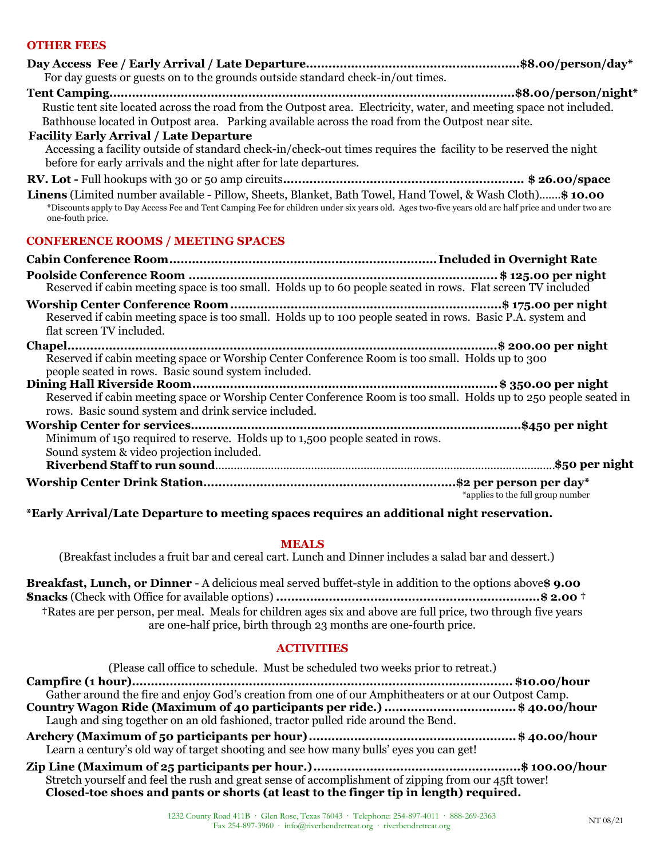# **OTHER FEES**

| For day guests or guests on to the grounds outside standard check-in/out times.                                                                                                                                                                                                     |
|-------------------------------------------------------------------------------------------------------------------------------------------------------------------------------------------------------------------------------------------------------------------------------------|
| Rustic tent site located across the road from the Outpost area. Electricity, water, and meeting space not included.<br>Bathhouse located in Outpost area. Parking available across the road from the Outpost near site.                                                             |
| <b>Facility Early Arrival / Late Departure</b><br>Accessing a facility outside of standard check-in/check-out times requires the facility to be reserved the night<br>before for early arrivals and the night after for late departures.                                            |
|                                                                                                                                                                                                                                                                                     |
| Linens (Limited number available - Pillow, Sheets, Blanket, Bath Towel, Hand Towel, & Wash Cloth) \$10.00<br>*Discounts apply to Day Access Fee and Tent Camping Fee for children under six years old. Ages two-five years old are half price and under two are<br>one-fouth price. |
| <b>CONFERENCE ROOMS / MEETING SPACES</b>                                                                                                                                                                                                                                            |
|                                                                                                                                                                                                                                                                                     |
| Reserved if cabin meeting space is too small. Holds up to 60 people seated in rows. Flat screen TV included                                                                                                                                                                         |
| Reserved if cabin meeting space is too small. Holds up to 100 people seated in rows. Basic P.A. system and<br>flat screen TV included.                                                                                                                                              |
| Reserved if cabin meeting space or Worship Center Conference Room is too small. Holds up to 300<br>people seated in rows. Basic sound system included.                                                                                                                              |
| Reserved if cabin meeting space or Worship Center Conference Room is too small. Holds up to 250 people seated in<br>rows. Basic sound system and drink service included.                                                                                                            |
| Minimum of 150 required to reserve. Holds up to 1,500 people seated in rows.<br>Sound system & video projection included.                                                                                                                                                           |
|                                                                                                                                                                                                                                                                                     |
| *applies to the full group number                                                                                                                                                                                                                                                   |
| *Early Arrival/Late Departure to meeting spaces requires an additional night reservation.                                                                                                                                                                                           |

#### **MEALS**

(Breakfast includes a fruit bar and cereal cart. Lunch and Dinner includes a salad bar and dessert.)

**Breakfast, Lunch, or Dinner** - A delicious meal served buffet-style in addition to the options above**\$ 9.00 †Snacks** (Check with Office for available options) **......................................................................\$ 2.00 † †**Rates are per person, per meal. Meals for children ages six and above are full price, two through five years are one-half price, birth through 23 months are one-fourth price.

#### **ACTIVITIES**

| (Please call office to schedule. Must be scheduled two weeks prior to retreat.)                                                                                                               |
|-----------------------------------------------------------------------------------------------------------------------------------------------------------------------------------------------|
|                                                                                                                                                                                               |
| Gather around the fire and enjoy God's creation from one of our Amphitheaters or at our Outpost Camp.                                                                                         |
| Country Wagon Ride (Maximum of 40 participants per ride.) \$ 40.00/hour<br>Laugh and sing together on an old fashioned, tractor pulled ride around the Bend.                                  |
| Learn a century's old way of target shooting and see how many bulls' eyes you can get!                                                                                                        |
| Stretch yourself and feel the rush and great sense of accomplishment of zipping from our 45ft tower!<br>Closed-toe shoes and pants or shorts (at least to the finger tip in length) required. |